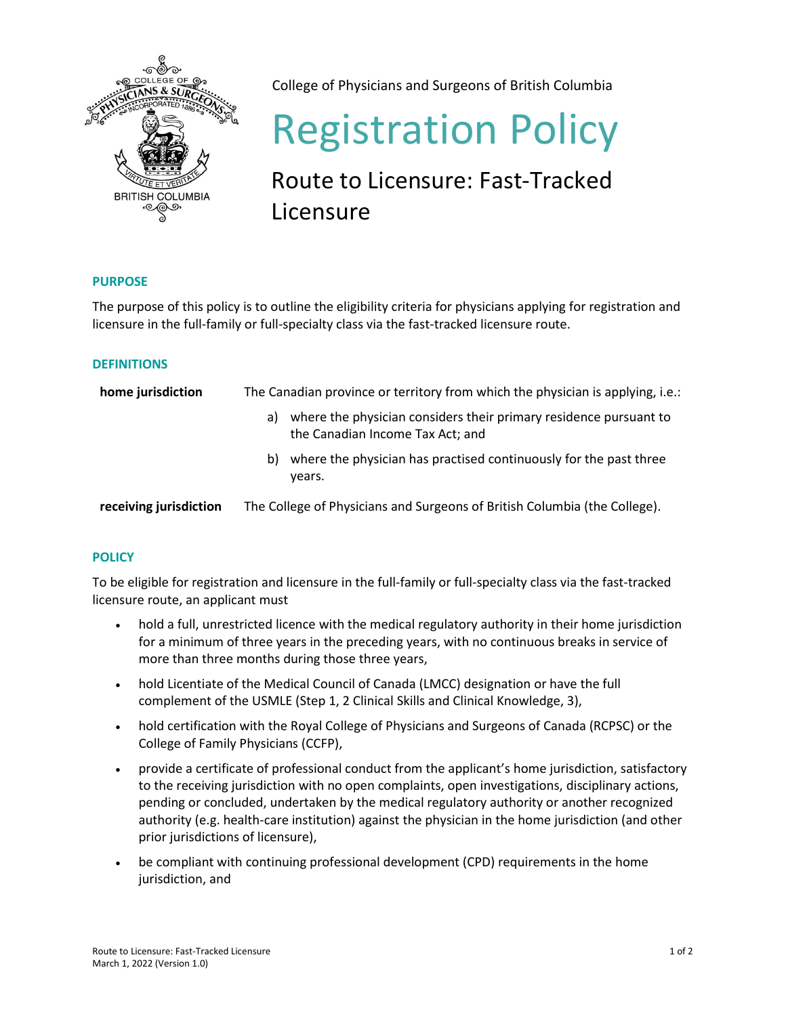

College of Physicians and Surgeons of British Columbia

# Registration Policy

## Route to Licensure: Fast-Tracked Licensure

#### **PURPOSE**

The purpose of this policy is to outline the eligibility criteria for physicians applying for registration and licensure in the full-family or full-specialty class via the fast-tracked licensure route.

#### **DEFINITIONS**

| home jurisdiction      | The Canadian province or territory from which the physician is applying, i.e.:                              |  |
|------------------------|-------------------------------------------------------------------------------------------------------------|--|
|                        | where the physician considers their primary residence pursuant to<br>a)<br>the Canadian Income Tax Act; and |  |
|                        | where the physician has practised continuously for the past three<br>b)<br>vears.                           |  |
| receiving jurisdiction | The College of Physicians and Surgeons of British Columbia (the College).                                   |  |

### **POLICY**

To be eligible for registration and licensure in the full-family or full-specialty class via the fast-tracked licensure route, an applicant must

- hold a full, unrestricted licence with the medical regulatory authority in their home jurisdiction for a minimum of three years in the preceding years, with no continuous breaks in service of more than three months during those three years,
- hold Licentiate of the Medical Council of Canada (LMCC) designation or have the full complement of the USMLE (Step 1, 2 Clinical Skills and Clinical Knowledge, 3),
- hold certification with the Royal College of Physicians and Surgeons of Canada (RCPSC) or the College of Family Physicians (CCFP),
- provide a certificate of professional conduct from the applicant's home jurisdiction, satisfactory to the receiving jurisdiction with no open complaints, open investigations, disciplinary actions, pending or concluded, undertaken by the medical regulatory authority or another recognized authority (e.g. health-care institution) against the physician in the home jurisdiction (and other prior jurisdictions of licensure),
- be compliant with continuing professional development (CPD) requirements in the home jurisdiction, and